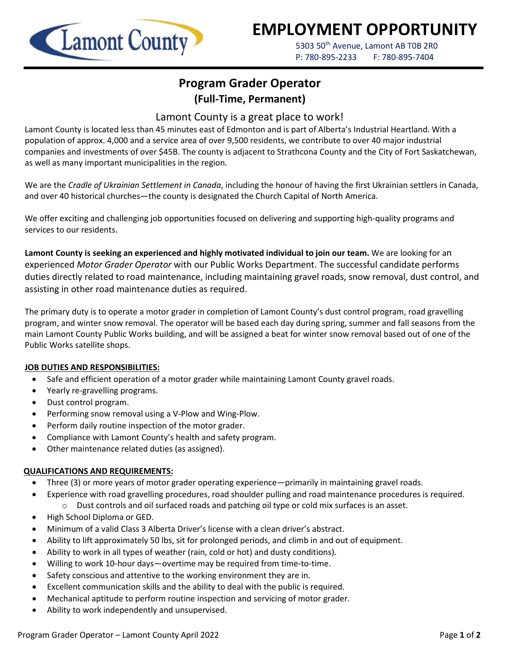

# **EMPLOYMENT OPPORTUNITY**

5303 50<sup>th</sup> Avenue, Lamont AB T0B 2R0 P: 780-895-2233 F: 780-895-7404

## **Program Grader Operator (Full-Time, Permanent)**

### Lamont County is a great place to work!

Lamont County is located less than 45 minutes east of Edmonton and is part of Alberta's Industrial Heartland. With a population of approx. 4,000 and a service area of over 9,500 residents, we contribute to over 40 major industrial companies and investments of over \$45B. The county is adjacent to Strathcona County and the City of Fort Saskatchewan, as well as many important municipalities in the region.

We are the *Cradle of Ukrainian Settlement in Canada*, including the honour of having the first Ukrainian settlers in Canada, and over 40 historical churches—the county is designated the Church Capital of North America.

We offer exciting and challenging job opportunities focused on delivering and supporting high-quality programs and services to our residents.

**Lamont County is seeking an experienced and highly motivated individual to join our team.** We are looking for an experienced *Motor Grader Operator* with our Public Works Department. The successful candidate performs duties directly related to road maintenance, including maintaining gravel roads, snow removal, dust control, and assisting in other road maintenance duties as required.

The primary duty is to operate a motor grader in completion of Lamont County's dust control program, road gravelling program, and winter snow removal. The operator will be based each day during spring, summer and fall seasons from the main Lamont County Public Works building, and will be assigned a beat for winter snow removal based out of one of the Public Works satellite shops.

#### **JOB DUTIES AND RESPONSIBILITIES:**

- Safe and efficient operation of a motor grader while maintaining Lamont County gravel roads.
- Yearly re-gravelling programs.
- Dust control program.
- Performing snow removal using a V-Plow and Wing-Plow.
- Perform daily routine inspection of the motor grader.
- Compliance with Lamont County's health and safety program.
- Other maintenance related duties (as assigned).

#### **QUALIFICATIONS AND REQUIREMENTS:**

- Three (3) or more years of motor grader operating experience—primarily in maintaining gravel roads.
- Experience with road gravelling procedures, road shoulder pulling and road maintenance procedures is required.  $\circ$  Dust controls and oil surfaced roads and patching oil type or cold mix surfaces is an asset.
- High School Diploma or GED.
- Minimum of a valid Class 3 Alberta Driver's license with a clean driver's abstract.
- Ability to lift approximately 50 lbs, sit for prolonged periods, and climb in and out of equipment.
- Ability to work in all types of weather (rain, cold or hot) and dusty conditions).
- Willing to work 10-hour days—overtime may be required from time-to-time.
- Safety conscious and attentive to the working environment they are in.
- Excellent communication skills and the ability to deal with the public is required.
- Mechanical aptitude to perform routine inspection and servicing of motor grader.
- Ability to work independently and unsupervised.